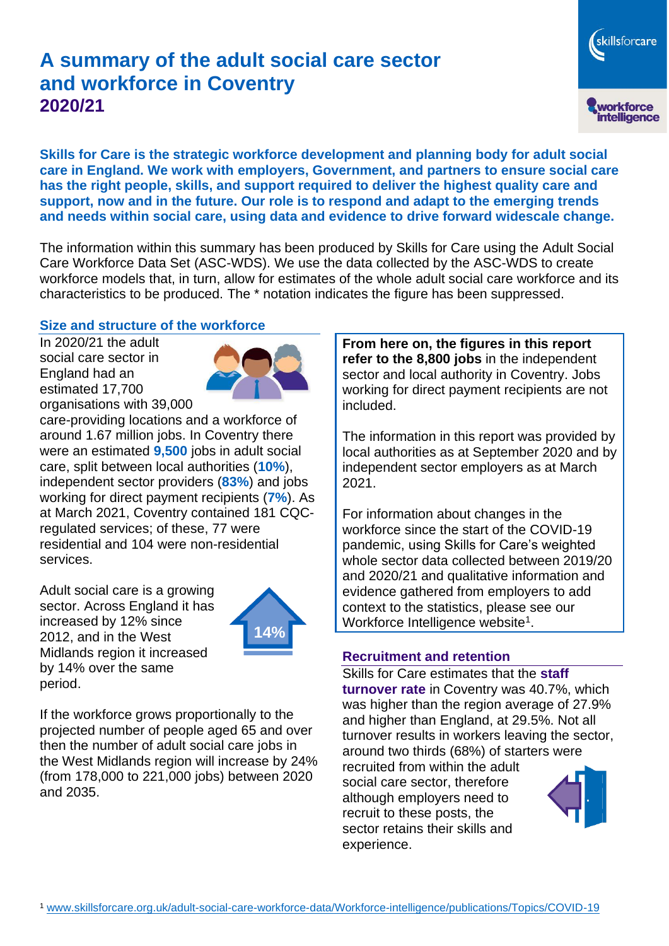# **A summary of the adult social care sector and workforce in Coventry 2020/21**

workforce<br>intelligence

skillsforcare

**Skills for Care is the strategic workforce development and planning body for adult social care in England. We work with employers, Government, and partners to ensure social care has the right people, skills, and support required to deliver the highest quality care and support, now and in the future. Our role is to respond and adapt to the emerging trends and needs within social care, using data and evidence to drive forward widescale change.**

The information within this summary has been produced by Skills for Care using the Adult Social Care Workforce Data Set (ASC-WDS). We use the data collected by the ASC-WDS to create workforce models that, in turn, allow for estimates of the whole adult social care workforce and its characteristics to be produced. The \* notation indicates the figure has been suppressed.

#### **Size and structure of the workforce**

In 2020/21 the adult social care sector in England had an estimated 17,700 organisations with 39,000



care-providing locations and a workforce of around 1.67 million jobs. In Coventry there were an estimated **9,500** jobs in adult social care, split between local authorities (**10%**), independent sector providers (**83%**) and jobs working for direct payment recipients (**7%**). As at March 2021, Coventry contained 181 CQCregulated services; of these, 77 were residential and 104 were non-residential services.

Adult social care is a growing sector. Across England it has increased by 12% since 2012, and in the West Midlands region it increased by 14% over the same period.



If the workforce grows proportionally to the projected number of people aged 65 and over then the number of adult social care jobs in the West Midlands region will increase by 24% (from 178,000 to 221,000 jobs) between 2020 and 2035.

**From here on, the figures in this report refer to the 8,800 jobs** in the independent sector and local authority in Coventry. Jobs working for direct payment recipients are not included.

The information in this report was provided by local authorities as at September 2020 and by independent sector employers as at March 2021.

For information about changes in the workforce since the start of the COVID-19 pandemic, using Skills for Care's weighted whole sector data collected between 2019/20 and 2020/21 and qualitative information and evidence gathered from employers to add context to the statistics, please see our Workforce Intelligence website<sup>1</sup>.

#### **Recruitment and retention**

Skills for Care estimates that the **staff turnover rate** in Coventry was 40.7%, which was higher than the region average of 27.9% and higher than England, at 29.5%. Not all turnover results in workers leaving the sector, around two thirds (68%) of starters were recruited from within the adult social care sector, therefore although employers need to recruit to these posts, the sector retains their skills and experience.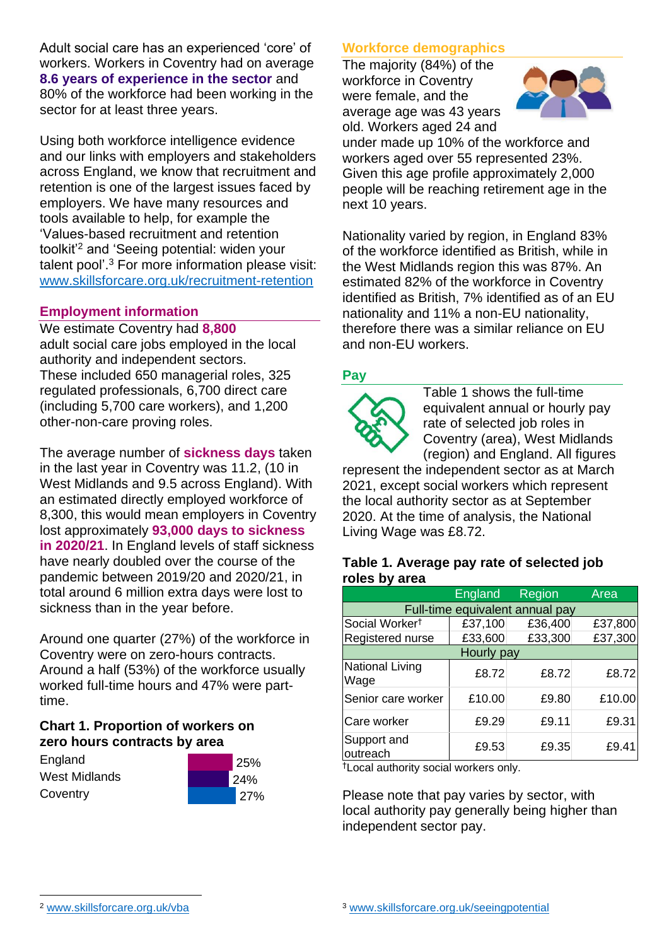Adult social care has an experienced 'core' of workers. Workers in Coventry had on average **8.6 years of experience in the sector** and 80% of the workforce had been working in the sector for at least three years.

Using both workforce intelligence evidence and our links with employers and stakeholders across England, we know that recruitment and retention is one of the largest issues faced by employers. We have many resources and tools available to help, for example the 'Values-based recruitment and retention toolkit'<sup>2</sup> and 'Seeing potential: widen your talent pool'. <sup>3</sup> For more information please visit: [www.skillsforcare.org.uk/recruitment-retention](http://www.skillsforcare.org.uk/recruitment-retention)

### **Employment information**

We estimate Coventry had **8,800** adult social care jobs employed in the local authority and independent sectors. These included 650 managerial roles, 325 regulated professionals, 6,700 direct care (including 5,700 care workers), and 1,200 other-non-care proving roles.

The average number of **sickness days** taken in the last year in Coventry was 11.2, (10 in West Midlands and 9.5 across England). With an estimated directly employed workforce of 8,300, this would mean employers in Coventry lost approximately **93,000 days to sickness in 2020/21**. In England levels of staff sickness have nearly doubled over the course of the pandemic between 2019/20 and 2020/21, in total around 6 million extra days were lost to sickness than in the year before.

Around one quarter (27%) of the workforce in Coventry were on zero-hours contracts. Around a half (53%) of the workforce usually worked full-time hours and 47% were parttime.

### **Chart 1. Proportion of workers on zero hours contracts by area**

| England       |
|---------------|
| West Midlands |
| Coventry      |



## **Workforce demographics**

The majority (84%) of the workforce in Coventry were female, and the average age was 43 years old. Workers aged 24 and



under made up 10% of the workforce and workers aged over 55 represented 23%. Given this age profile approximately 2,000 people will be reaching retirement age in the next 10 years.

Nationality varied by region, in England 83% of the workforce identified as British, while in the West Midlands region this was 87%. An estimated 82% of the workforce in Coventry identified as British, 7% identified as of an EU nationality and 11% a non-EU nationality, therefore there was a similar reliance on EU and non-EU workers.

## **Pay**



Table 1 shows the full-time equivalent annual or hourly pay rate of selected job roles in Coventry (area), West Midlands (region) and England. All figures

represent the independent sector as at March 2021, except social workers which represent the local authority sector as at September 2020. At the time of analysis, the National Living Wage was £8.72.

#### **Table 1. Average pay rate of selected job roles by area**

|                                 | <b>England</b> | Region  | Area    |  |
|---------------------------------|----------------|---------|---------|--|
| Full-time equivalent annual pay |                |         |         |  |
| Social Worker <sup>t</sup>      | £37,100        | £36,400 | £37,800 |  |
| Registered nurse                | £33,600        | £33,300 | £37,300 |  |
| Hourly pay                      |                |         |         |  |
| National Living<br>Wage         | £8.72          | £8.72   | £8.72   |  |
| Senior care worker              | £10.00         | £9.80   | £10.00  |  |
| Care worker                     | £9.29          | £9.11   | £9.31   |  |
| Support and<br>outreach         | £9.53          | £9.35   | £9.41   |  |

†Local authority social workers only.

Please note that pay varies by sector, with local authority pay generally being higher than independent sector pay.